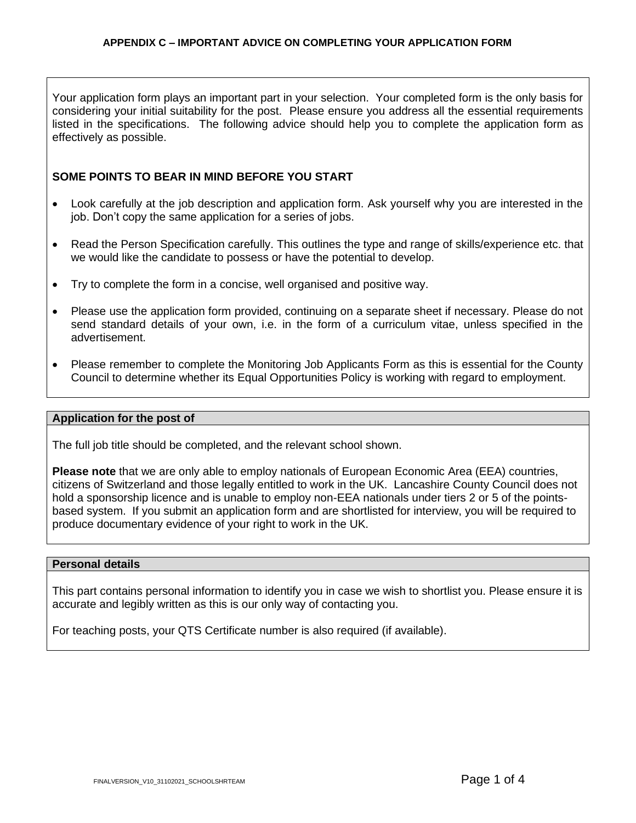Your application form plays an important part in your selection. Your completed form is the only basis for considering your initial suitability for the post. Please ensure you address all the essential requirements listed in the specifications. The following advice should help you to complete the application form as effectively as possible.

# **SOME POINTS TO BEAR IN MIND BEFORE YOU START**

- Look carefully at the job description and application form. Ask yourself why you are interested in the job. Don't copy the same application for a series of jobs.
- Read the Person Specification carefully. This outlines the type and range of skills/experience etc. that we would like the candidate to possess or have the potential to develop.
- Try to complete the form in a concise, well organised and positive way.
- Please use the application form provided, continuing on a separate sheet if necessary. Please do not send standard details of your own, i.e. in the form of a curriculum vitae, unless specified in the advertisement.
- Please remember to complete the Monitoring Job Applicants Form as this is essential for the County Council to determine whether its Equal Opportunities Policy is working with regard to employment.

#### **Application for the post of**

The full job title should be completed, and the relevant school shown.

**Please note** that we are only able to employ nationals of European Economic Area (EEA) countries, citizens of Switzerland and those legally entitled to work in the UK. Lancashire County Council does not hold a sponsorship licence and is unable to employ non-EEA nationals under tiers 2 or 5 of the pointsbased system. If you submit an application form and are shortlisted for interview, you will be required to produce documentary evidence of your right to work in the UK.

#### **Personal details**

This part contains personal information to identify you in case we wish to shortlist you. Please ensure it is accurate and legibly written as this is our only way of contacting you.

For teaching posts, your QTS Certificate number is also required (if available).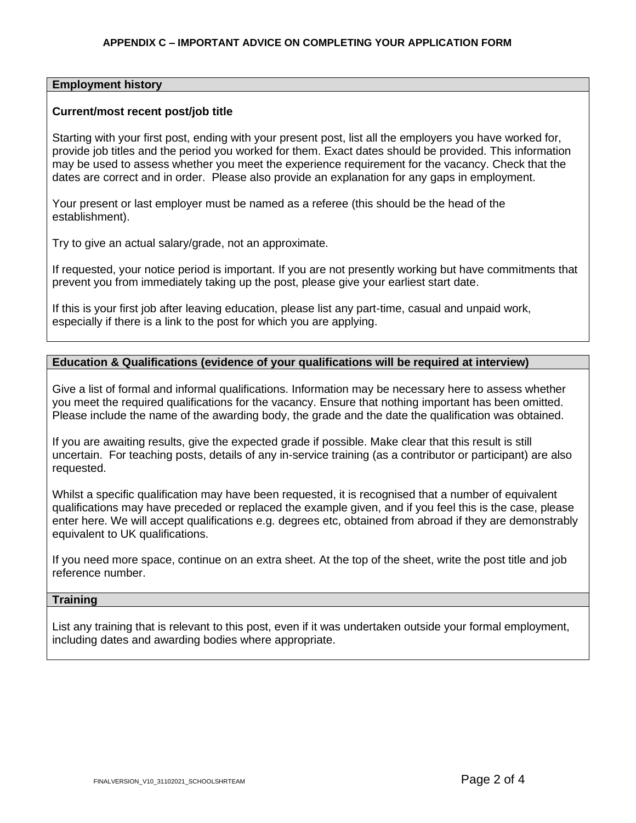## **Employment history**

### **Current/most recent post/job title**

Starting with your first post, ending with your present post, list all the employers you have worked for, provide job titles and the period you worked for them. Exact dates should be provided. This information may be used to assess whether you meet the experience requirement for the vacancy. Check that the dates are correct and in order. Please also provide an explanation for any gaps in employment.

Your present or last employer must be named as a referee (this should be the head of the establishment).

Try to give an actual salary/grade, not an approximate.

If requested, your notice period is important. If you are not presently working but have commitments that prevent you from immediately taking up the post, please give your earliest start date.

If this is your first job after leaving education, please list any part-time, casual and unpaid work, especially if there is a link to the post for which you are applying.

## **Education & Qualifications (evidence of your qualifications will be required at interview)**

Give a list of formal and informal qualifications. Information may be necessary here to assess whether you meet the required qualifications for the vacancy. Ensure that nothing important has been omitted. Please include the name of the awarding body, the grade and the date the qualification was obtained.

If you are awaiting results, give the expected grade if possible. Make clear that this result is still uncertain. For teaching posts, details of any in-service training (as a contributor or participant) are also requested.

Whilst a specific qualification may have been requested, it is recognised that a number of equivalent qualifications may have preceded or replaced the example given, and if you feel this is the case, please enter here. We will accept qualifications e.g. degrees etc, obtained from abroad if they are demonstrably equivalent to UK qualifications.

If you need more space, continue on an extra sheet. At the top of the sheet, write the post title and job reference number.

### **Training**

List any training that is relevant to this post, even if it was undertaken outside your formal employment, including dates and awarding bodies where appropriate.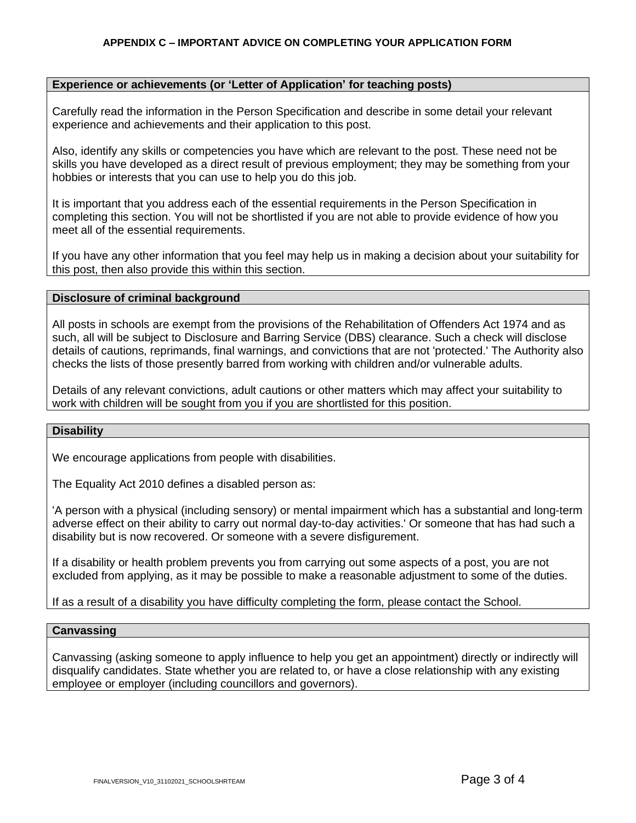## **APPENDIX C – IMPORTANT ADVICE ON COMPLETING YOUR APPLICATION FORM**

### **Experience or achievements (or 'Letter of Application' for teaching posts)**

Carefully read the information in the Person Specification and describe in some detail your relevant experience and achievements and their application to this post.

Also, identify any skills or competencies you have which are relevant to the post. These need not be skills you have developed as a direct result of previous employment; they may be something from your hobbies or interests that you can use to help you do this job.

It is important that you address each of the essential requirements in the Person Specification in completing this section. You will not be shortlisted if you are not able to provide evidence of how you meet all of the essential requirements.

If you have any other information that you feel may help us in making a decision about your suitability for this post, then also provide this within this section.

#### **Disclosure of criminal background**

All posts in schools are exempt from the provisions of the Rehabilitation of Offenders Act 1974 and as such, all will be subject to Disclosure and Barring Service (DBS) clearance. Such a check will disclose details of cautions, reprimands, final warnings, and convictions that are not 'protected.' The Authority also checks the lists of those presently barred from working with children and/or vulnerable adults.

Details of any relevant convictions, adult cautions or other matters which may affect your suitability to work with children will be sought from you if you are shortlisted for this position.

### **Disability**

We encourage applications from people with disabilities.

The Equality Act 2010 defines a disabled person as:

'A person with a physical (including sensory) or mental impairment which has a substantial and long-term adverse effect on their ability to carry out normal day-to-day activities.' Or someone that has had such a disability but is now recovered. Or someone with a severe disfigurement.

If a disability or health problem prevents you from carrying out some aspects of a post, you are not excluded from applying, as it may be possible to make a reasonable adjustment to some of the duties.

If as a result of a disability you have difficulty completing the form, please contact the School.

#### **Canvassing**

Canvassing (asking someone to apply influence to help you get an appointment) directly or indirectly will disqualify candidates. State whether you are related to, or have a close relationship with any existing employee or employer (including councillors and governors).